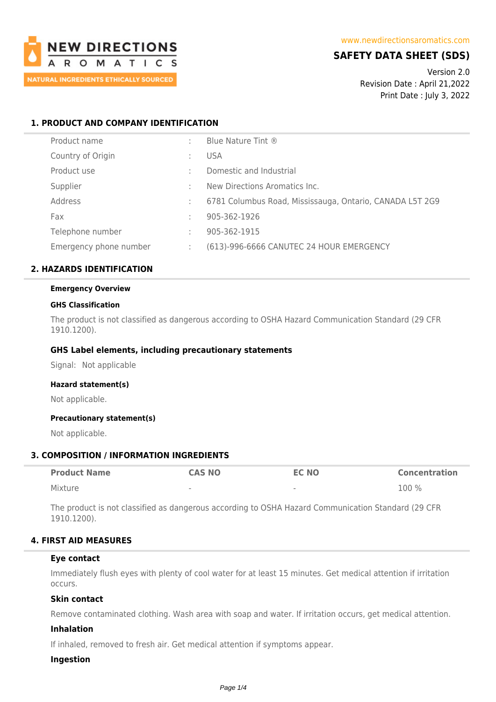

# **SAFETY DATA SHEET (SDS)**

Version 2.0 Revision Date : April 21,2022 Print Date : July 3, 2022

# **1. PRODUCT AND COMPANY IDENTIFICATION**

| Product name           | ٠. | Blue Nature Tint ®                                       |
|------------------------|----|----------------------------------------------------------|
| Country of Origin      |    | <b>USA</b>                                               |
| Product use            |    | Domestic and Industrial                                  |
| Supplier               |    | New Directions Aromatics Inc.                            |
| Address                | ÷  | 6781 Columbus Road, Mississauga, Ontario, CANADA L5T 2G9 |
| Fax                    |    | 905-362-1926                                             |
| Telephone number       | ÷  | 905-362-1915                                             |
| Emergency phone number | ÷  | (613)-996-6666 CANUTEC 24 HOUR EMERGENCY                 |

# **2. HAZARDS IDENTIFICATION**

## **Emergency Overview**

### **GHS Classification**

The product is not classified as dangerous according to OSHA Hazard Communication Standard (29 CFR 1910.1200).

## **GHS Label elements, including precautionary statements**

Signal: Not applicable

### **Hazard statement(s)**

Not applicable.

## **Precautionary statement(s)**

Not applicable.

## **3. COMPOSITION / INFORMATION INGREDIENTS**

| <b>Product Name</b> | <b>CAS NO</b> | <b>EC NO</b>             | Concentration |
|---------------------|---------------|--------------------------|---------------|
| Mixture             | $\sim$        | $\overline{\phantom{a}}$ | 100 %         |

The product is not classified as dangerous according to OSHA Hazard Communication Standard (29 CFR 1910.1200).

## **4. FIRST AID MEASURES**

### **Eye contact**

Immediately flush eyes with plenty of cool water for at least 15 minutes. Get medical attention if irritation occurs.

### **Skin contact**

Remove contaminated clothing. Wash area with soap and water. If irritation occurs, get medical attention.

### **Inhalation**

If inhaled, removed to fresh air. Get medical attention if symptoms appear.

### **Ingestion**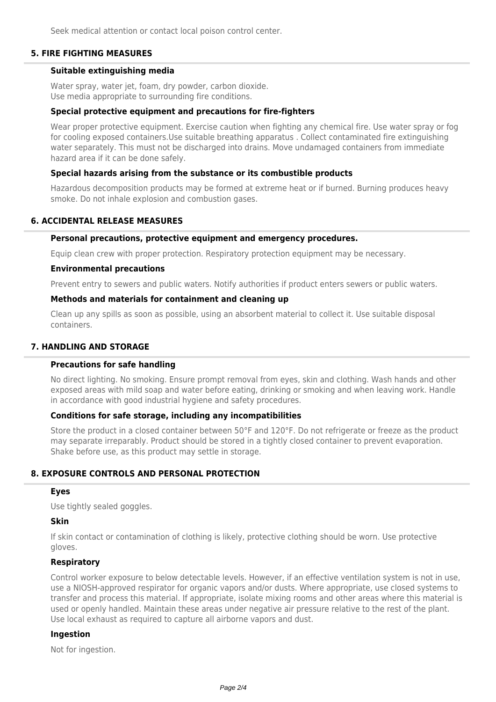Seek medical attention or contact local poison control center.

# **5. FIRE FIGHTING MEASURES**

## **Suitable extinguishing media**

Water spray, water jet, foam, dry powder, carbon dioxide. Use media appropriate to surrounding fire conditions.

## **Special protective equipment and precautions for fire-fighters**

Wear proper protective equipment. Exercise caution when fighting any chemical fire. Use water spray or fog for cooling exposed containers.Use suitable breathing apparatus . Collect contaminated fire extinguishing water separately. This must not be discharged into drains. Move undamaged containers from immediate hazard area if it can be done safely.

## **Special hazards arising from the substance or its combustible products**

Hazardous decomposition products may be formed at extreme heat or if burned. Burning produces heavy smoke. Do not inhale explosion and combustion gases.

## **6. ACCIDENTAL RELEASE MEASURES**

### **Personal precautions, protective equipment and emergency procedures.**

Equip clean crew with proper protection. Respiratory protection equipment may be necessary.

### **Environmental precautions**

Prevent entry to sewers and public waters. Notify authorities if product enters sewers or public waters.

### **Methods and materials for containment and cleaning up**

Clean up any spills as soon as possible, using an absorbent material to collect it. Use suitable disposal containers.

# **7. HANDLING AND STORAGE**

### **Precautions for safe handling**

No direct lighting. No smoking. Ensure prompt removal from eyes, skin and clothing. Wash hands and other exposed areas with mild soap and water before eating, drinking or smoking and when leaving work. Handle in accordance with good industrial hygiene and safety procedures.

### **Conditions for safe storage, including any incompatibilities**

Store the product in a closed container between 50°F and 120°F. Do not refrigerate or freeze as the product may separate irreparably. Product should be stored in a tightly closed container to prevent evaporation. Shake before use, as this product may settle in storage.

# **8. EXPOSURE CONTROLS AND PERSONAL PROTECTION**

### **Eyes**

Use tightly sealed goggles.

## **Skin**

If skin contact or contamination of clothing is likely, protective clothing should be worn. Use protective gloves.

## **Respiratory**

Control worker exposure to below detectable levels. However, if an effective ventilation system is not in use, use a NIOSH-approved respirator for organic vapors and/or dusts. Where appropriate, use closed systems to transfer and process this material. If appropriate, isolate mixing rooms and other areas where this material is used or openly handled. Maintain these areas under negative air pressure relative to the rest of the plant. Use local exhaust as required to capture all airborne vapors and dust.

## **Ingestion**

Not for ingestion.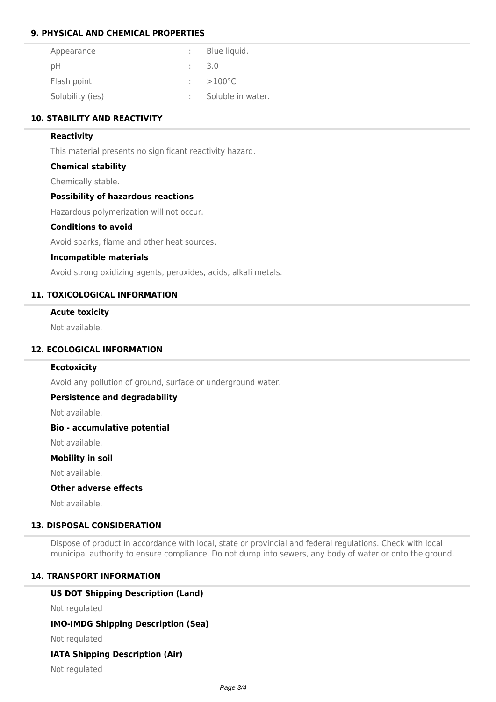# **9. PHYSICAL AND CHEMICAL PROPERTIES**

| Appearance       | Blue liquid.      |
|------------------|-------------------|
| рH               | -3.0              |
| Flash point      | $>100^{\circ}$ C  |
| Solubility (ies) | Soluble in water. |

# **10. STABILITY AND REACTIVITY**

## **Reactivity**

This material presents no significant reactivity hazard.

## **Chemical stability**

Chemically stable.

## **Possibility of hazardous reactions**

Hazardous polymerization will not occur.

### **Conditions to avoid**

Avoid sparks, flame and other heat sources.

### **Incompatible materials**

Avoid strong oxidizing agents, peroxides, acids, alkali metals.

## **11. TOXICOLOGICAL INFORMATION**

## **Acute toxicity**

Not available.

# **12. ECOLOGICAL INFORMATION**

### **Ecotoxicity**

Avoid any pollution of ground, surface or underground water.

## **Persistence and degradability**

Not available.

### **Bio - accumulative potential**

Not available.

### **Mobility in soil**

Not available.

# **Other adverse effects**

Not available.

# **13. DISPOSAL CONSIDERATION**

Dispose of product in accordance with local, state or provincial and federal regulations. Check with local municipal authority to ensure compliance. Do not dump into sewers, any body of water or onto the ground.

# **14. TRANSPORT INFORMATION**

# **US DOT Shipping Description (Land)**

Not regulated

# **IMO-IMDG Shipping Description (Sea)**

Not regulated

# **IATA Shipping Description (Air)**

Not regulated